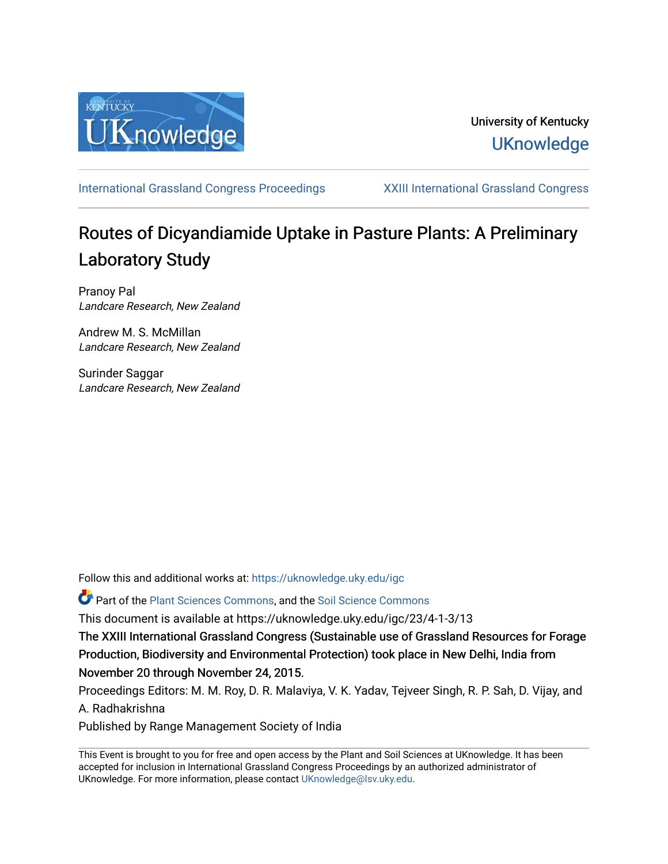

# University of Kentucky **UKnowledge**

[International Grassland Congress Proceedings](https://uknowledge.uky.edu/igc) [XXIII International Grassland Congress](https://uknowledge.uky.edu/igc/23) 

# Routes of Dicyandiamide Uptake in Pasture Plants: A Preliminary Laboratory Study

Pranoy Pal Landcare Research, New Zealand

Andrew M. S. McMillan Landcare Research, New Zealand

Surinder Saggar Landcare Research, New Zealand

Follow this and additional works at: [https://uknowledge.uky.edu/igc](https://uknowledge.uky.edu/igc?utm_source=uknowledge.uky.edu%2Figc%2F23%2F4-1-3%2F13&utm_medium=PDF&utm_campaign=PDFCoverPages) 

Part of the [Plant Sciences Commons](http://network.bepress.com/hgg/discipline/102?utm_source=uknowledge.uky.edu%2Figc%2F23%2F4-1-3%2F13&utm_medium=PDF&utm_campaign=PDFCoverPages), and the [Soil Science Commons](http://network.bepress.com/hgg/discipline/163?utm_source=uknowledge.uky.edu%2Figc%2F23%2F4-1-3%2F13&utm_medium=PDF&utm_campaign=PDFCoverPages) 

This document is available at https://uknowledge.uky.edu/igc/23/4-1-3/13

The XXIII International Grassland Congress (Sustainable use of Grassland Resources for Forage Production, Biodiversity and Environmental Protection) took place in New Delhi, India from November 20 through November 24, 2015.

Proceedings Editors: M. M. Roy, D. R. Malaviya, V. K. Yadav, Tejveer Singh, R. P. Sah, D. Vijay, and A. Radhakrishna

Published by Range Management Society of India

This Event is brought to you for free and open access by the Plant and Soil Sciences at UKnowledge. It has been accepted for inclusion in International Grassland Congress Proceedings by an authorized administrator of UKnowledge. For more information, please contact [UKnowledge@lsv.uky.edu](mailto:UKnowledge@lsv.uky.edu).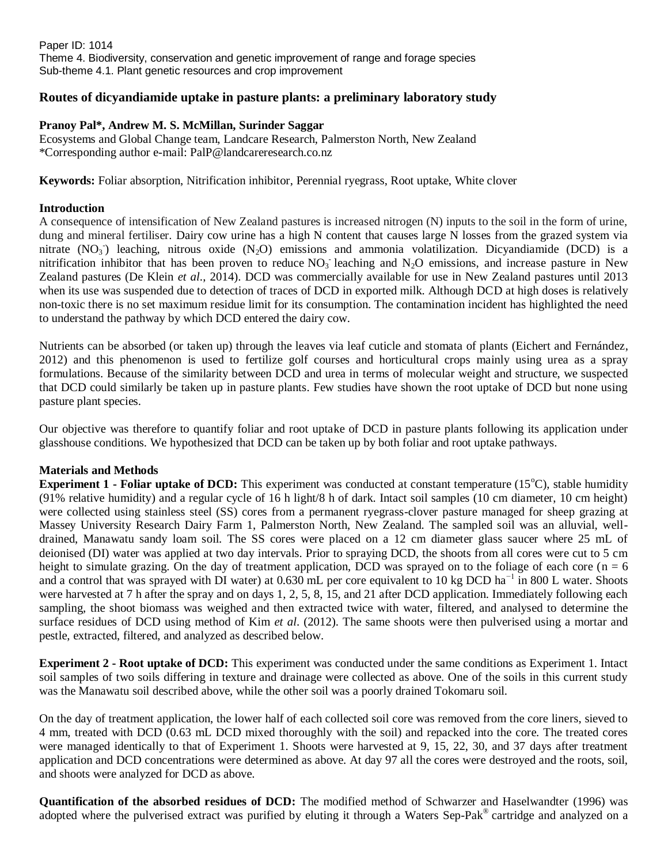Paper ID: 1014 Theme 4. Biodiversity, conservation and genetic improvement of range and forage species Sub-theme 4.1. Plant genetic resources and crop improvement

## **Routes of dicyandiamide uptake in pasture plants: a preliminary laboratory study**

#### **Pranoy Pal\*, Andrew M. S. McMillan, Surinder Saggar**

Ecosystems and Global Change team, Landcare Research, Palmerston North, New Zealand \*Corresponding author e-mail: [PalP@landcareresearch.co.nz](mailto:PalP@landcareresearch.co.nz)

**Keywords:** Foliar absorption, Nitrification inhibitor, Perennial ryegrass, Root uptake, White clover

#### **Introduction**

A consequence of intensification of New Zealand pastures is increased nitrogen (N) inputs to the soil in the form of urine, dung and mineral fertiliser. Dairy cow urine has a high N content that causes large N losses from the grazed system via nitrate  $(NO<sub>3</sub>)$  leaching, nitrous oxide  $(N<sub>2</sub>O)$  emissions and ammonia volatilization. Dicyandiamide (DCD) is a nitrification inhibitor that has been proven to reduce  $NO<sub>3</sub>$  leaching and  $N<sub>2</sub>O$  emissions, and increase pasture in New Zealand pastures (De Klein *et al*., 2014). DCD was commercially available for use in New Zealand pastures until 2013 when its use was suspended due to detection of traces of DCD in exported milk. Although DCD at high doses is relatively non-toxic there is no set maximum residue limit for its consumption. The contamination incident has highlighted the need to understand the pathway by which DCD entered the dairy cow.

Nutrients can be absorbed (or taken up) through the leaves via leaf cuticle and stomata of plants (Eichert and Fernández, 2012) and this phenomenon is used to fertilize golf courses and horticultural crops mainly using urea as a spray formulations. Because of the similarity between DCD and urea in terms of molecular weight and structure, we suspected that DCD could similarly be taken up in pasture plants. Few studies have shown the root uptake of DCD but none using pasture plant species.

Our objective was therefore to quantify foliar and root uptake of DCD in pasture plants following its application under glasshouse conditions. We hypothesized that DCD can be taken up by both foliar and root uptake pathways.

#### **Materials and Methods**

**Experiment 1 - Foliar uptake of DCD:** This experiment was conducted at constant temperature (15<sup>o</sup>C), stable humidity (91% relative humidity) and a regular cycle of 16 h light/8 h of dark. Intact soil samples (10 cm diameter, 10 cm height) were collected using stainless steel (SS) cores from a permanent ryegrass-clover pasture managed for sheep grazing at Massey University Research Dairy Farm 1, Palmerston North, New Zealand. The sampled soil was an alluvial, welldrained, Manawatu sandy loam soil. The SS cores were placed on a 12 cm diameter glass saucer where 25 mL of deionised (DI) water was applied at two day intervals. Prior to spraying DCD, the shoots from all cores were cut to 5 cm height to simulate grazing. On the day of treatment application, DCD was sprayed on to the foliage of each core ( $n = 6$ ) and a control that was sprayed with DI water) at 0.630 mL per core equivalent to 10 kg DCD ha<sup> $-1$ </sup> in 800 L water. Shoots were harvested at 7 h after the spray and on days 1, 2, 5, 8, 15, and 21 after DCD application. Immediately following each sampling, the shoot biomass was weighed and then extracted twice with water, filtered, and analysed to determine the surface residues of DCD using method of Kim *et al*. (2012). The same shoots were then pulverised using a mortar and pestle, extracted, filtered, and analyzed as described below.

**Experiment 2 - Root uptake of DCD:** This experiment was conducted under the same conditions as Experiment 1. Intact soil samples of two soils differing in texture and drainage were collected as above. One of the soils in this current study was the Manawatu soil described above, while the other soil was a poorly drained Tokomaru soil.

On the day of treatment application, the lower half of each collected soil core was removed from the core liners, sieved to 4 mm, treated with DCD (0.63 mL DCD mixed thoroughly with the soil) and repacked into the core. The treated cores were managed identically to that of Experiment 1. Shoots were harvested at 9, 15, 22, 30, and 37 days after treatment application and DCD concentrations were determined as above. At day 97 all the cores were destroyed and the roots, soil, and shoots were analyzed for DCD as above.

**Quantification of the absorbed residues of DCD:** The modified method of Schwarzer and Haselwandter (1996) was adopted where the pulverised extract was purified by eluting it through a Waters Sep-Pak® cartridge and analyzed on a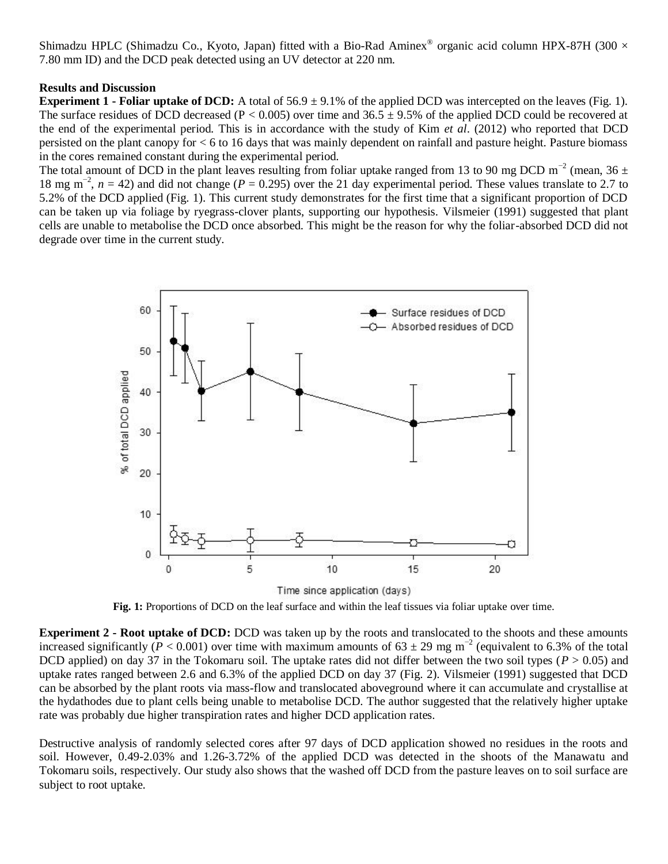Shimadzu HPLC (Shimadzu Co., Kyoto, Japan) fitted with a Bio-Rad Aminex® organic acid column HPX-87H (300  $\times$ 7.80 mm ID) and the DCD peak detected using an UV detector at 220 nm.

## **Results and Discussion**

**Experiment 1 - Foliar uptake of DCD:** A total of  $56.9 \pm 9.1\%$  of the applied DCD was intercepted on the leaves (Fig. 1). The surface residues of DCD decreased (P < 0.005) over time and 36.5  $\pm$  9.5% of the applied DCD could be recovered at the end of the experimental period. This is in accordance with the study of Kim *et al*. (2012) who reported that DCD persisted on the plant canopy for < 6 to 16 days that was mainly dependent on rainfall and pasture height. Pasture biomass in the cores remained constant during the experimental period.

The total amount of DCD in the plant leaves resulting from foliar uptake ranged from 13 to 90 mg DCD m<sup>-2</sup> (mean, 36 ± 18 mg m−2 , *n* = 42) and did not change (*P* = 0.295) over the 21 day experimental period. These values translate to 2.7 to 5.2% of the DCD applied (Fig. 1). This current study demonstrates for the first time that a significant proportion of DCD can be taken up via foliage by ryegrass-clover plants, supporting our hypothesis. Vilsmeier (1991) suggested that plant cells are unable to metabolise the DCD once absorbed. This might be the reason for why the foliar-absorbed DCD did not degrade over time in the current study.



Time since application (days)

**Fig. 1:** Proportions of DCD on the leaf surface and within the leaf tissues via foliar uptake over time.

**Experiment 2 - Root uptake of DCD:** DCD was taken up by the roots and translocated to the shoots and these amounts increased significantly ( $P < 0.001$ ) over time with maximum amounts of 63 ± 29 mg m<sup>-2</sup> (equivalent to 6.3% of the total DCD applied) on day 37 in the Tokomaru soil. The uptake rates did not differ between the two soil types ( $P > 0.05$ ) and uptake rates ranged between 2.6 and 6.3% of the applied DCD on day 37 (Fig. 2). Vilsmeier (1991) suggested that DCD can be absorbed by the plant roots via mass-flow and translocated aboveground where it can accumulate and crystallise at the hydathodes due to plant cells being unable to metabolise DCD. The author suggested that the relatively higher uptake rate was probably due higher transpiration rates and higher DCD application rates.

Destructive analysis of randomly selected cores after 97 days of DCD application showed no residues in the roots and soil. However, 0.49-2.03% and 1.26-3.72% of the applied DCD was detected in the shoots of the Manawatu and Tokomaru soils, respectively. Our study also shows that the washed off DCD from the pasture leaves on to soil surface are subject to root uptake.